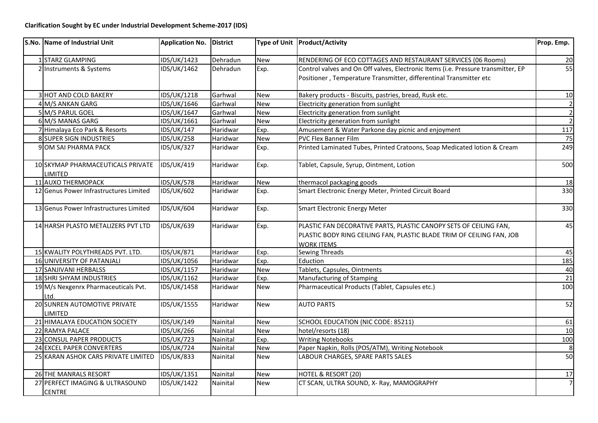| S.No. Name of Industrial Unit                       | <b>Application No.</b> | District |            | Type of Unit   Product/Activity                                                                                                                                 | Prop. Emp.     |
|-----------------------------------------------------|------------------------|----------|------------|-----------------------------------------------------------------------------------------------------------------------------------------------------------------|----------------|
| 1 STARZ GLAMPING                                    | <b>IDS/UK/1423</b>     | Dehradun | <b>New</b> | RENDERING OF ECO COTTAGES AND RESTAURANT SERVICES (06 Rooms)                                                                                                    | 20             |
| 2 Instruments & Systems                             | <b>IDS/UK/1462</b>     | Dehradun | Exp.       | Control valves and On Off valves, Electronic Items (i.e. Pressure transmitter, EP<br>Positioner, Temperature Transmitter, differentinal Transmitter etc         | 55             |
| 3 HOT AND COLD BAKERY                               | IDS/UK/1218            | Garhwal  | <b>New</b> | Bakery products - Biscuits, pastries, bread, Rusk etc.                                                                                                          | 10             |
| 4 M/S ANKAN GARG                                    | IDS/UK/1646            | Garhwal  | <b>New</b> | Electricity generation from sunlight                                                                                                                            | $\overline{2}$ |
| 5 M/S PARUL GOEL                                    | <b>IDS/UK/1647</b>     | Garhwal  | <b>New</b> | Electricity generation from sunlight                                                                                                                            | $\overline{2}$ |
| 6 M/S MANAS GARG                                    | IDS/UK/1661            | Garhwal  | <b>New</b> | Electricity generation from sunlight                                                                                                                            | $\overline{2}$ |
| 7 Himalaya Eco Park & Resorts                       | <b>IDS/UK/147</b>      | Haridwar | Exp.       | Amusement & Water Parkone day picnic and enjoyment                                                                                                              | 117            |
| 8 SUPER SIGN INDUSTRIES                             | <b>IDS/UK/258</b>      | Haridwar | <b>New</b> | <b>PVC Flex Banner Film</b>                                                                                                                                     | 75             |
| 9 OM SAI PHARMA PACK                                | <b>IDS/UK/327</b>      | Haridwar | Exp.       | Printed Laminated Tubes, Printed Cratoons, Soap Medicated lotion & Cream                                                                                        | 249            |
| 10 SKYMAP PHARMACEUTICALS PRIVATE<br><b>LIMITED</b> | IDS/UK/419             | Haridwar | Exp.       | Tablet, Capsule, Syrup, Ointment, Lotion                                                                                                                        | 500            |
| 11 AUXO THERMOPACK                                  | IDS/UK/578             | Haridwar | New        | thermacol packaging goods                                                                                                                                       | 18             |
| 12 Genus Power Infrastructures Limited              | <b>IDS/UK/602</b>      | Haridwar | Exp.       | Smart Electronic Energy Meter, Printed Circuit Board                                                                                                            | 330            |
| 13 Genus Power Infrastructures Limited              | <b>IDS/UK/604</b>      | Haridwar | Exp.       | <b>Smart Electronic Energy Meter</b>                                                                                                                            | 330            |
| 14 HARSH PLASTO METALIZERS PVT LTD                  | <b>IDS/UK/639</b>      | Haridwar | Exp.       | PLASTIC FAN DECORATIVE PARTS, PLASTIC CANOPY SETS OF CEILING FAN,<br>PLASTIC BODY RING CEILING FAN, PLASTIC BLADE TRIM OF CEILING FAN, JOB<br><b>WORK ITEMS</b> | 45             |
| 15 KWALITY POLYTHREADS PVT. LTD.                    | <b>IDS/UK/871</b>      | Haridwar | Exp.       | Sewing Threads                                                                                                                                                  | 45             |
| 16 UNIVERSITY OF PATANJALI                          | IDS/UK/1056            | Haridwar | Exp.       | Eduction                                                                                                                                                        | 185            |
| 17 SANJIVANI HERBALSS                               | IDS/UK/1157            | Haridwar | <b>New</b> | Tablets, Capsules, Ointments                                                                                                                                    | 40             |
| 18 SHRI SHYAM INDUSTRIES                            | IDS/UK/1162            | Haridwar | Exp.       | Manufacturing of Stamping                                                                                                                                       | 21             |
| 19 M/s Nexgenrx Pharmaceuticals Pvt.<br>Ltd.        | IDS/UK/1458            | Haridwar | <b>New</b> | Pharmaceutical Products (Tablet, Capsules etc.)                                                                                                                 | 100            |
| 20 SUNREN AUTOMOTIVE PRIVATE<br>LIMITED             | <b>IDS/UK/1555</b>     | Haridwar | <b>New</b> | <b>AUTO PARTS</b>                                                                                                                                               | 52             |
| 21 HIMALAYA EDUCATION SOCIETY                       | IDS/UK/149             | Nainital | <b>New</b> | SCHOOL EDUCATION (NIC CODE: 85211)                                                                                                                              | 61             |
| 22 RAMYA PALACE                                     | <b>IDS/UK/266</b>      | Nainital | <b>New</b> | hotel/resorts (18)                                                                                                                                              | 10             |
| 23 CONSUL PAPER PRODUCTS                            | <b>IDS/UK/723</b>      | Nainital | Exp.       | <b>Writing Notebooks</b>                                                                                                                                        | 100            |
| 24 EXCEL PAPER CONVERTERS                           | <b>IDS/UK/724</b>      | Nainital | <b>New</b> | Paper Napkin, Rolls (POS/ATM), Writing Notebook                                                                                                                 | $\overline{8}$ |
| 25 KARAN ASHOK CARS PRIVATE LIMITED                 | <b>IDS/UK/833</b>      | Nainital | <b>New</b> | LABOUR CHARGES, SPARE PARTS SALES                                                                                                                               | 50             |
| 26 THE MANRALS RESORT                               | IDS/UK/1351            | Nainital | <b>New</b> | HOTEL & RESORT (20)                                                                                                                                             | 17             |
| 27 PERFECT IMAGING & ULTRASOUND<br><b>CENTRE</b>    | <b>IDS/UK/1422</b>     | Nainital | <b>New</b> | CT SCAN, ULTRA SOUND, X- Ray, MAMOGRAPHY                                                                                                                        | $\overline{7}$ |